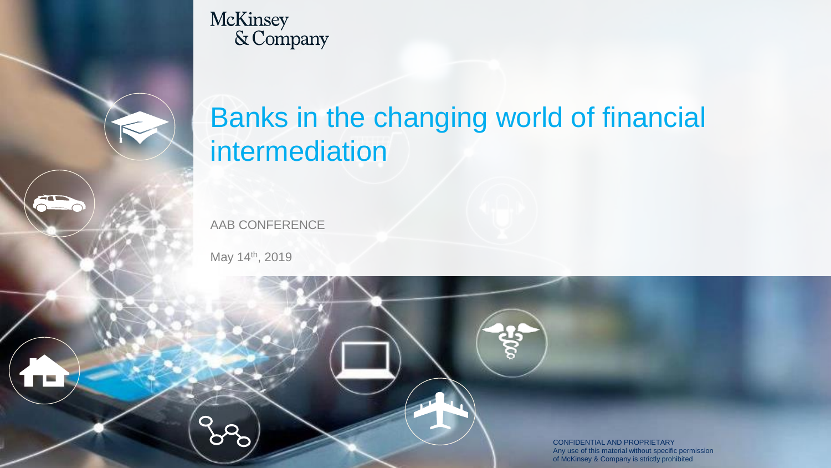



# Banks in the changing world of financial intermediation

AAB CONFERENCE

May 14<sup>th</sup>, 2019

CONFIDENTIAL AND PROPRIETARY Any use of this material without specific permission of McKinsey & Company is strictly prohibited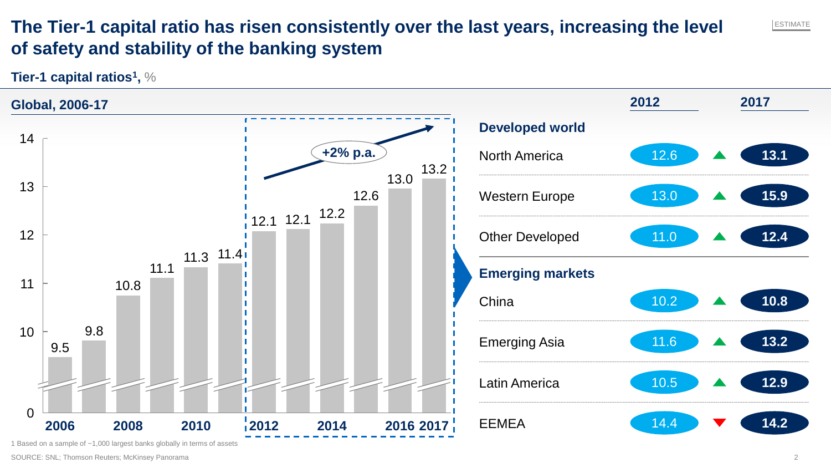## **The Tier-1 capital ratio has risen consistently over the last years, increasing the level of safety and stability of the banking system**

**Tier-1 capital ratios<sup>1</sup> ,** %



ESTIMATE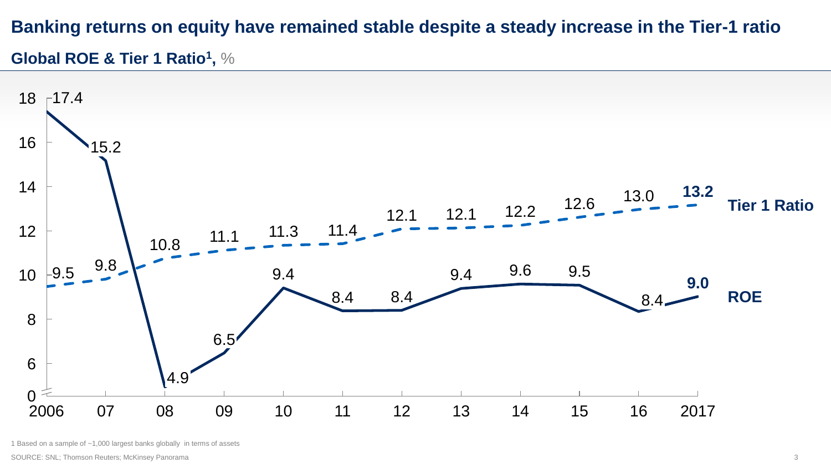# **Banking returns on equity have remained stable despite a steady increase in the Tier-1 ratio**

### **Global ROE & Tier 1 Ratio<sup>1</sup> ,** %



1 Based on a sample of ~1,000 largest banks globally in terms of assets

SOURCE: SNL; Thomson Reuters; McKinsey Panorama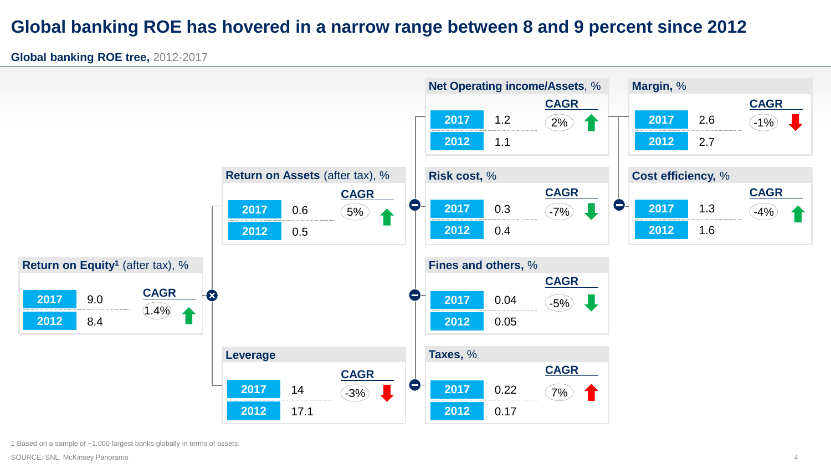### **Global banking ROE has hovered in a narrow range between 8 and 9 percent since 2012**

**Global banking ROE tree,** 2012-2017



1 Based on a sample of ~1,000 largest banks globally in terms of assets.

SOURCE: SNL, McKinsey Panorama 44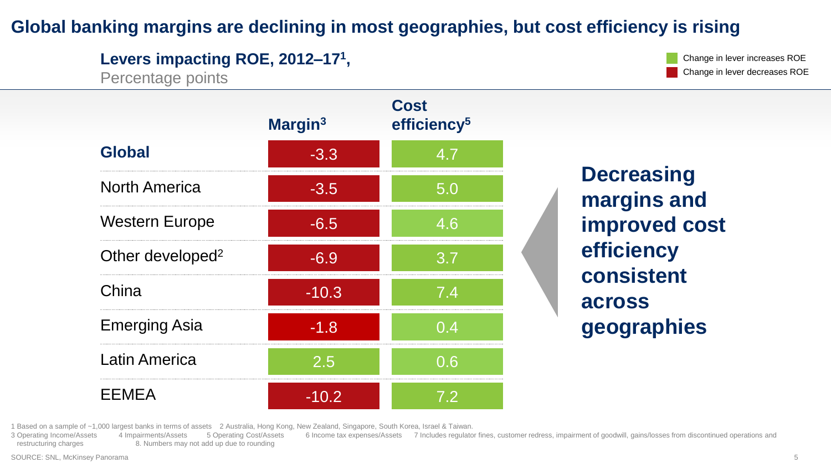### **Global banking margins are declining in most geographies, but cost efficiency is rising**

**Levers impacting ROE, 2012–17<sup>1</sup> ,** 

Percentage points

Change in lever increases ROE Change in lever decreases ROE

|                              | Margin <sup>3</sup> | Cost<br>efficiency <sup>5</sup> |
|------------------------------|---------------------|---------------------------------|
| <b>Global</b>                | $-3.3$              | 4.7                             |
| <b>North America</b>         | $-3.5$              | 5.0                             |
| <b>Western Europe</b>        | $-6.5$              | 4.6                             |
| Other developed <sup>2</sup> | $-6.9$              | 3.7                             |
| China                        | $-10.3$             | 7.4                             |
| <b>Emerging Asia</b>         | $-1.8$              | 0.4                             |
| <b>Latin America</b>         | $\overline{2.5}$    | 0.6                             |
| <b>EEMEA</b>                 | $-10.2$             | 72                              |

**Decreasing margins and improved cost efficiency consistent across geographies**

1 Based on a sample of ~1,000 largest banks in terms of assets 2 Australia, Hong Kong, New Zealand, Singapore, South Korea, Israel & Taiwan.

3 Operating Income/Assets 4 Impairments/Assets 5 Operating Cost/Assets 6 Income tax expenses/Assets 7 Includes regulator fines, customer redress, impairment of goodwill, gains/losses from discontinued operations and restructuring charges 8. Numbers may not add up due to rounding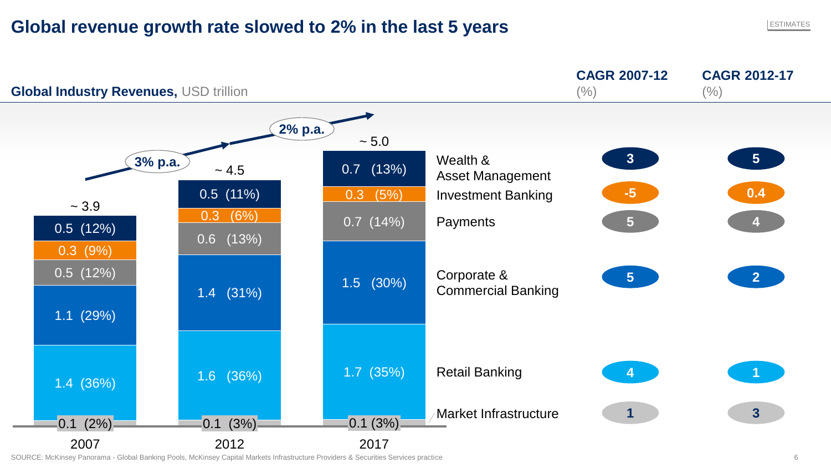### **Global revenue growth rate slowed to 2% in the last 5 years**



SOURCE: McKinsey Panorama - Global Banking Pools, McKinsey Capital Markets Infrastructure Providers & Securities Services practice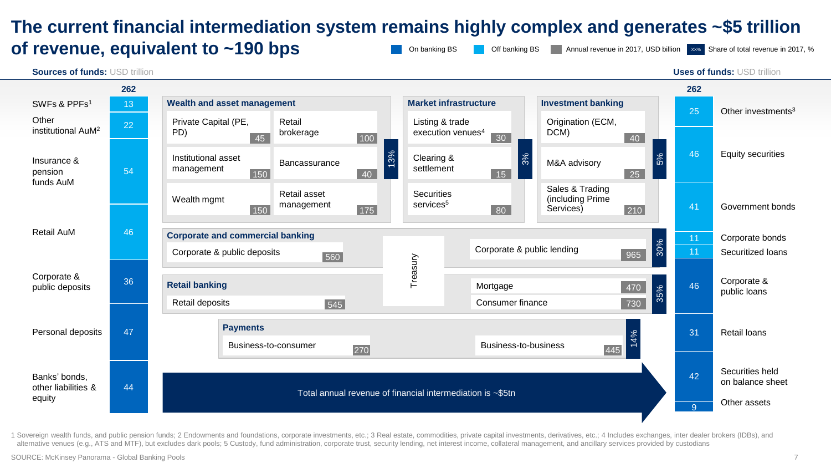### **The current financial intermediation system remains highly complex and generates ~\$5 trillion of revenue, equivalent to ~190 bps** Annual revenue in 2017, USD billion Xx% Share of total revenue in 2017, % On banking BS **Off** banking BS



1 Sovereign wealth funds, and public pension funds: 2 Endowments and foundations, corporate investments, etc.: 3 Real estate, commodities, private capital investments, derivatives, etc.: 4 Includes exchanges, inter dealer alternative venues (e.g., ATS and MTF), but excludes dark pools; 5 Custody, fund administration, corporate trust, security lending, net interest income, collateral management, and ancillary services provided by custodians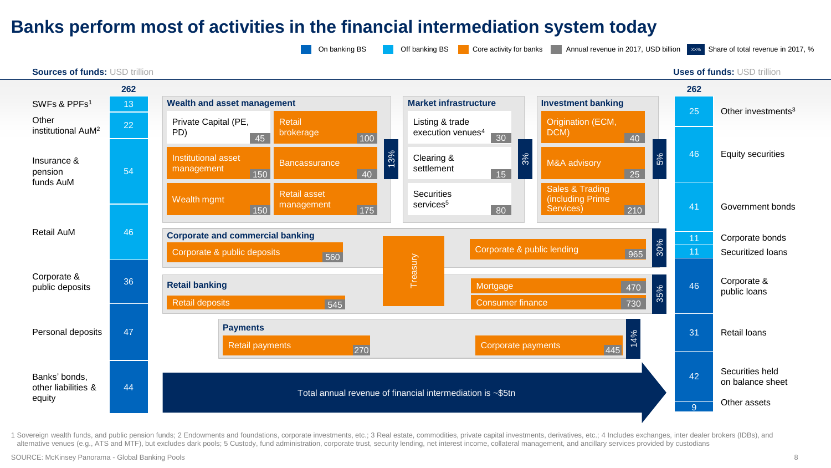### **Banks perform most of activities in the financial intermediation system today**



1 Sovereign wealth funds, and public pension funds: 2 Endowments and foundations, corporate investments, etc.: 3 Real estate, commodities, private capital investments, derivatives, etc.: 4 Includes exchanges, inter dealer alternative venues (e.g., ATS and MTF), but excludes dark pools; 5 Custody, fund administration, corporate trust, security lending, net interest income, collateral management, and ancillary services provided by custodians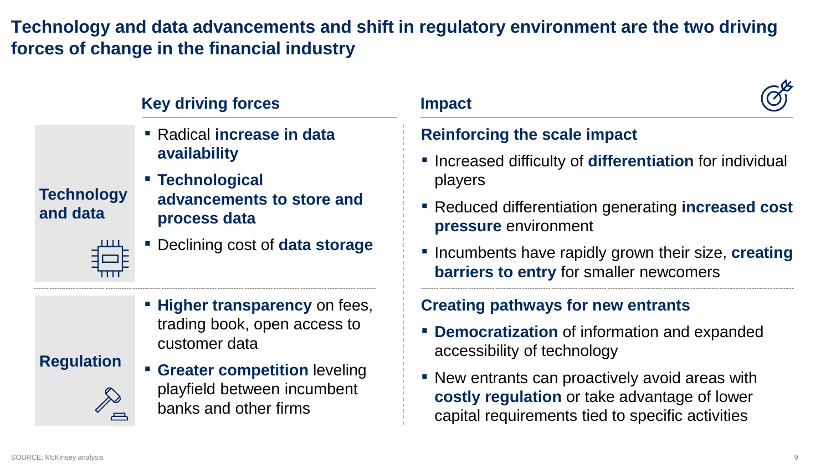## **Technology and data advancements and shift in regulatory environment are the two driving forces of change in the financial industry**

|               | <b>Key driving forces</b>                                           |                              |  |
|---------------|---------------------------------------------------------------------|------------------------------|--|
|               | " Radical increase in data<br>availability                          | <b>Reinfo</b>                |  |
| <b>nology</b> | <b>- Technological</b><br>advancements to store and<br>process data | Increa<br>playe              |  |
| data          |                                                                     | $\blacksquare$ Redu<br>press |  |
|               | • Declining cost of <b>data storage</b>                             | Incun<br>barri               |  |
|               | " Higher transparency on fees,                                      | <b>Creatir</b>               |  |

trading book, open access to customer data

### **Regulation**

**Example Greater competition leveling** playfield between incumbent banks and other firms

# **Reinforcing the scale impact**

- Increased difficulty of **differentiation** for individual players
- Reduced differentiation generating **increased cost pressure** environment
- Incumbents have rapidly grown their size, **creating barriers to entry** for smaller newcomers

### **Creating pathways for new entrants**

- **Democratization** of information and expanded accessibility of technology
- **EXECT:** New entrants can proactively avoid areas with **costly regulation** or take advantage of lower capital requirements tied to specific activities

**Tech** 

**and data**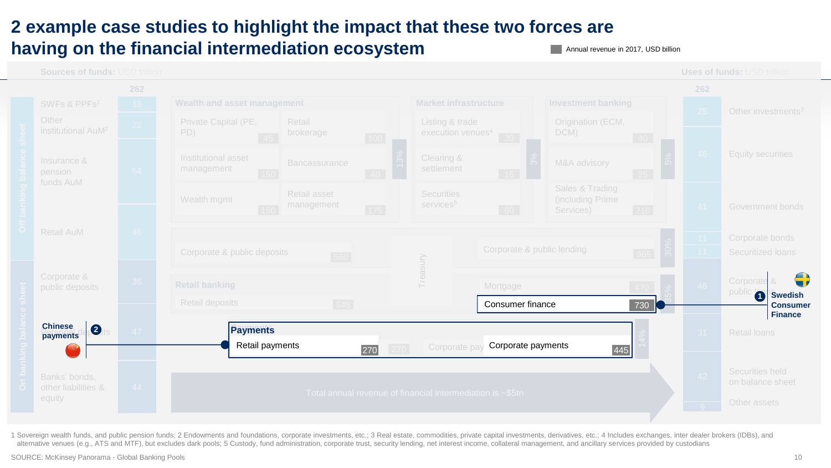## **2 example case studies to highlight the impact that these two forces are having on the financial intermediation ecosystem**

**Annual revenue in 2017, USD billion** 



1 Sovereign wealth funds, and public pension funds; 2 Endowments and foundations, corporate investments, etc.; 3 Real estate, commodities, private capital investments, derivatives, etc.; 4 Includes exchanges, inter dealer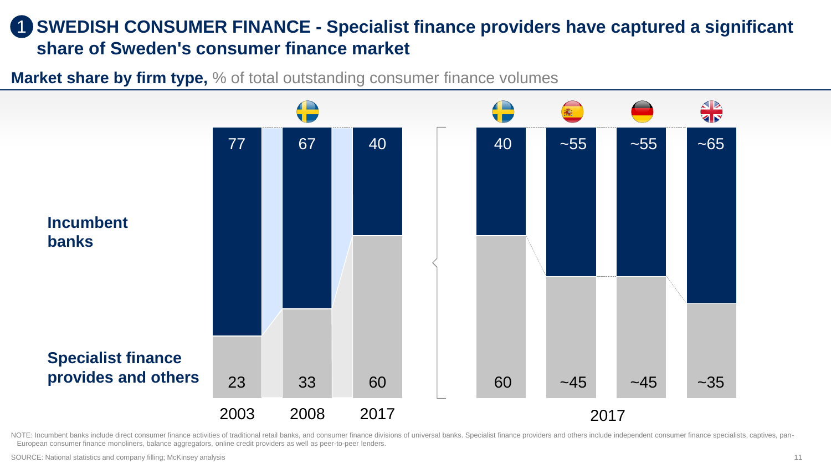### **SWEDISH CONSUMER FINANCE - Specialist finance providers have captured a significant share of Sweden's consumer finance market** 1

**Market share by firm type,** % of total outstanding consumer finance volumes



NOTE: Incumbent banks include direct consumer finance activities of traditional retail banks, and consumer finance divisions of universal banks. Specialist finance providers and others include independent consumer finance European consumer finance monoliners, balance aggregators, online credit providers as well as peer-to-peer lenders.

SOURCE: National statistics and company filling; McKinsey analysis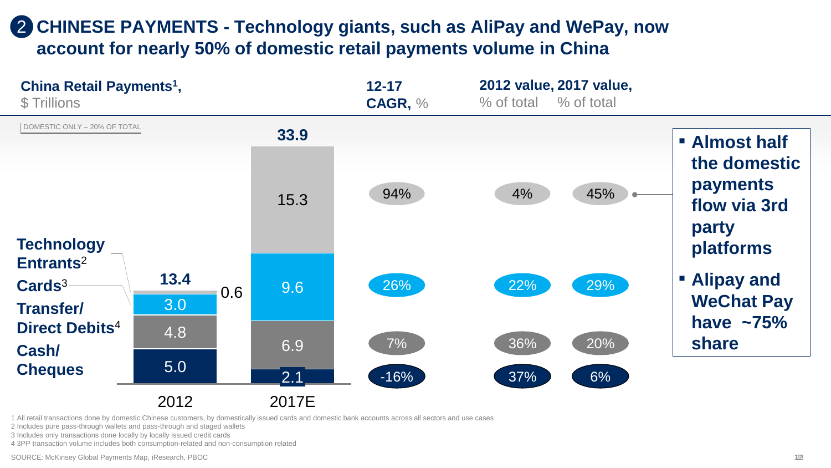# **CHINESE PAYMENTS - Technology giants, such as AliPay and WePay, now**  2 **account for nearly 50% of domestic retail payments volume in China**



1 All retail transactions done by domestic Chinese customers, by domestically issued cards and domestic bank accounts across all sectors and use cases

2 Includes pure pass-through wallets and pass-through and staged wallets

3 Includes only transactions done locally by locally issued credit cards

4 3PP transaction volume includes both consumption-related and non-consumption related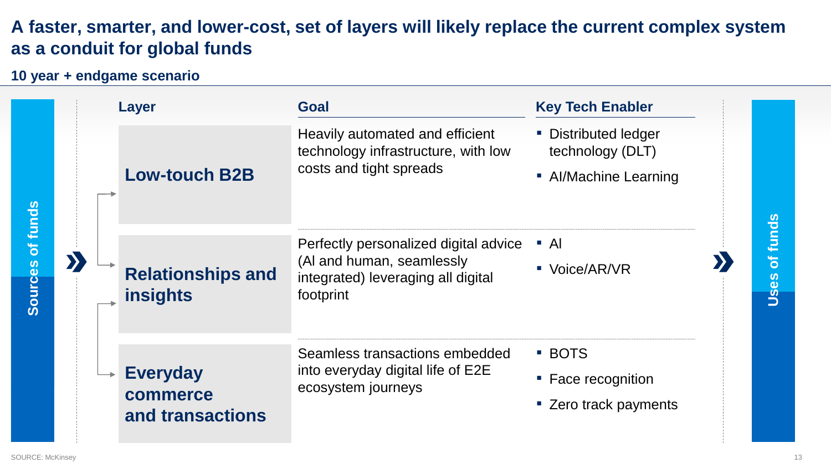## **A faster, smarter, and lower-cost, set of layers will likely replace the current complex system as a conduit for global funds**

### **10 year + endgame scenario**

| of funds<br><b>Sources</b> |  | <b>Layer</b>                                    | Goal                                                                                              | <b>Key Tech Enabler</b>                                                                                               |                                 |  |                                      |  |
|----------------------------|--|-------------------------------------------------|---------------------------------------------------------------------------------------------------|-----------------------------------------------------------------------------------------------------------------------|---------------------------------|--|--------------------------------------|--|
|                            |  | <b>Low-touch B2B</b>                            | Heavily automated and efficient<br>technology infrastructure, with low<br>costs and tight spreads | • Distributed ledger<br>technology (DLT)<br>• Al/Machine Learning                                                     |                                 |  |                                      |  |
|                            |  | D                                               | <b>Relationships and</b><br><b>insights</b>                                                       | Perfectly personalized digital advice<br>(Al and human, seamlessly<br>integrated) leveraging all digital<br>footprint | $\overline{A}$<br>■ Voice/AR/VR |  | funds<br>$\overline{\sigma}$<br>Uses |  |
|                            |  | <b>Everyday</b><br>commerce<br>and transactions | Seamless transactions embedded<br>into everyday digital life of E2E<br>ecosystem journeys         | <b>BOTS</b><br>• Face recognition<br>" Zero track payments                                                            |                                 |  |                                      |  |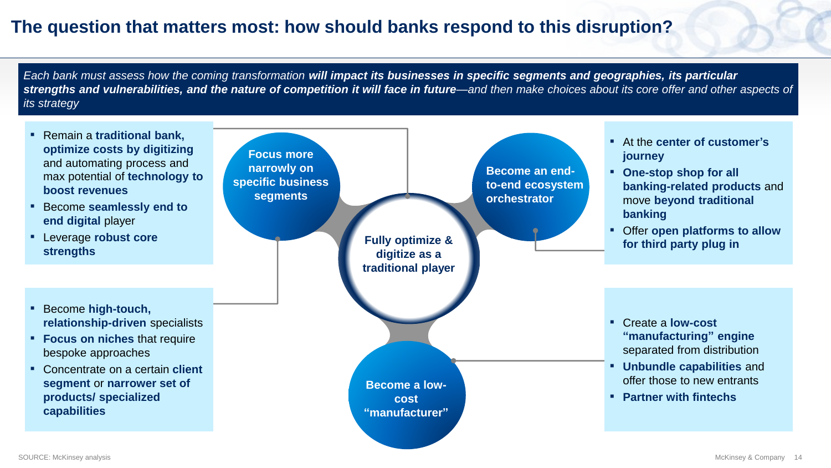### **The question that matters most: how should banks respond to this disruption?**

*Each bank must assess how the coming transformation will impact its businesses in specific segments and geographies, its particular strengths and vulnerabilities, and the nature of competition it will face in future—and then make choices about its core offer and other aspects of its strategy*